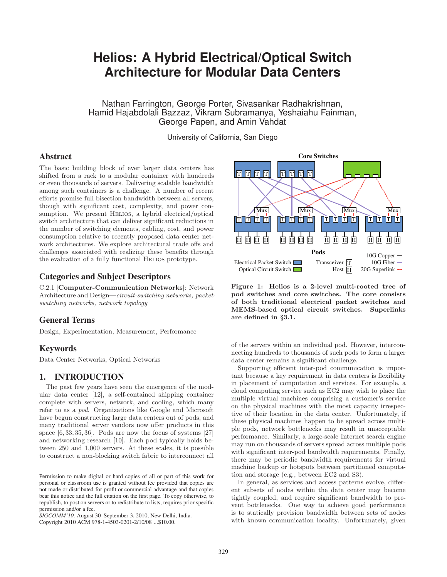# **Helios: A Hybrid Electrical/Optical Switch Architecture for Modular Data Centers**

Nathan Farrington, George Porter, Sivasankar Radhakrishnan, Hamid Hajabdolali Bazzaz, Vikram Subramanya, Yeshaiahu Fainman, George Papen, and Amin Vahdat

University of California, San Diego

# **Abstract**

The basic building block of ever larger data centers has shifted from a rack to a modular container with hundreds or even thousands of servers. Delivering scalable bandwidth among such containers is a challenge. A number of recent efforts promise full bisection bandwidth between all servers, though with significant cost, complexity, and power consumption. We present HELIOS, a hybrid electrical/optical switch architecture that can deliver significant reductions in the number of switching elements, cabling, cost, and power consumption relative to recently proposed data center network architectures. We explore architectural trade offs and challenges associated with realizing these benefits through the evaluation of a fully functional HELIOS prototype.

# **Categories and Subject Descriptors**

C.2.1 [Computer-Communication Networks]: Network Architecture and Design—circuit-switching networks, packetswitching networks, network topology

# **General Terms**

Design, Experimentation, Measurement, Performance

# **Keywords**

Data Center Networks, Optical Networks

# **1. INTRODUCTION**

The past few years have seen the emergence of the modular data center [12], a self-contained shipping container complete with servers, network, and cooling, which many refer to as a pod. Organizations like Google and Microsoft have begun constructing large data centers out of pods, and many traditional server vendors now offer products in this space [6, 33, 35, 36]. Pods are now the focus of systems [27] and networking research [10]. Each pod typically holds between 250 and 1,000 servers. At these scales, it is possible to construct a non-blocking switch fabric to interconnect all

*SIGCOMM'10,* August 30–September 3, 2010, New Delhi, India.



Figure 1: Helios is a 2-level multi-rooted tree of pod switches and core switches. The core consists of both traditional electrical packet switches and MEMS-based optical circuit switches. Superlinks are defined in §3.1.

of the servers within an individual pod. However, interconnecting hundreds to thousands of such pods to form a larger data center remains a significant challenge.

Supporting efficient inter-pod communication is important because a key requirement in data centers is flexibility in placement of computation and services. For example, a cloud computing service such as EC2 may wish to place the multiple virtual machines comprising a customer's service on the physical machines with the most capacity irrespective of their location in the data center. Unfortunately, if these physical machines happen to be spread across multiple pods, network bottlenecks may result in unacceptable performance. Similarly, a large-scale Internet search engine may run on thousands of servers spread across multiple pods with significant inter-pod bandwidth requirements. Finally, there may be periodic bandwidth requirements for virtual machine backup or hotspots between partitioned computation and storage (e.g., between EC2 and S3).

In general, as services and access patterns evolve, different subsets of nodes within the data center may become tightly coupled, and require significant bandwidth to prevent bottlenecks. One way to achieve good performance is to statically provision bandwidth between sets of nodes with known communication locality. Unfortunately, given

Permission to make digital or hard copies of all or part of this work for personal or classroom use is granted without fee provided that copies are not made or distributed for profit or commercial advantage and that copies bear this notice and the full citation on the first page. To copy otherwise, to republish, to post on servers or to redistribute to lists, requires prior specific permission and/or a fee.

Copyright 2010 ACM 978-1-4503-0201-2/10/08 ...\$10.00.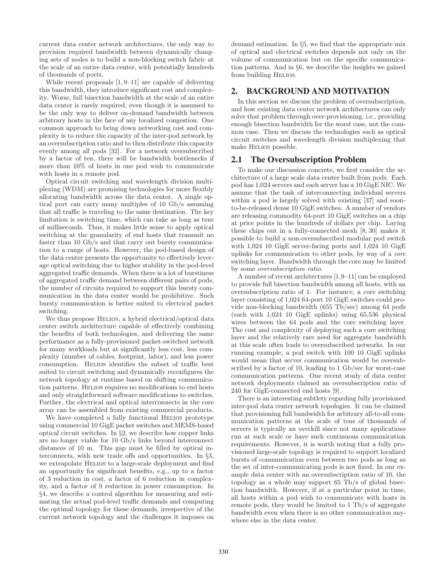current data center network architectures, the only way to provision required bandwidth between dynamically changing sets of nodes is to build a non-blocking switch fabric at the scale of an entire data center, with potentially hundreds of thousands of ports.

While recent proposals [1, 9–11] are capable of delivering this bandwidth, they introduce significant cost and complexity. Worse, full bisection bandwidth at the scale of an entire data center is rarely required, even though it is assumed to be the only way to deliver on-demand bandwidth between arbitrary hosts in the face of any localized congestion. One common approach to bring down networking cost and complexity is to reduce the capacity of the inter-pod network by an oversubscription ratio and to then distribute this capacity evenly among all pods [32]. For a network oversubscribed by a factor of ten, there will be bandwidth bottlenecks if more than 10% of hosts in one pod wish to communicate with hosts in a remote pod.

Optical circuit switching and wavelength division multiplexing (WDM) are promising technologies for more flexibly allocating bandwidth across the data center. A single optical port can carry many multiples of 10 Gb/s assuming that all traffic is traveling to the same destination. The key limitation is switching time, which can take as long as tens of milliseconds. Thus, it makes little sense to apply optical switching at the granularity of end hosts that transmit no faster than 10 Gb/s and that carry out bursty communication to a range of hosts. However, the pod-based design of the data center presents the opportunity to effectively leverage optical switching due to higher stability in the pod-level aggregated traffic demands. When there is a lot of burstiness of aggregated traffic demand between different pairs of pods, the number of circuits required to support this bursty communication in the data center would be prohibitive. Such bursty communication is better suited to electrical packet switching.

We thus propose HELIOS, a hybrid electrical/optical data center switch architecture capable of effectively combining the benefits of both technologies, and delivering the same performance as a fully-provisioned packet-switched network for many workloads but at significantly less cost, less complexity (number of cables, footprint, labor), and less power consumption. Helios identifies the subset of traffic best suited to circuit switching and dynamically reconfigures the network topology at runtime based on shifting communication patterns. HELIOS requires no modifications to end hosts and only straightforward software modifications to switches. Further, the electrical and optical interconnects in the core array can be assembled from existing commercial products.

We have completed a fully functional HELIOS prototype using commercial 10 GigE packet switches and MEMS-based optical circuit switches. In §2, we describe how copper links are no longer viable for 10 Gb/s links beyond interconnect distances of 10 m. This gap must be filled by optical interconnects, with new trade offs and opportunities. In §3, we extrapolate HELIOS to a large-scale deployment and find an opportunity for significant benefits, e.g., up to a factor of 3 reduction in cost, a factor of 6 reduction in complexity, and a factor of 9 reduction in power consumption. In §4, we describe a control algorithm for measuring and estimating the actual pod-level traffic demands and computing the optimal topology for these demands, irrespective of the current network topology and the challenges it imposes on

demand estimation. In §5, we find that the appropriate mix of optical and electrical switches depends not only on the volume of communication but on the specific communication patterns. And in §6, we describe the insights we gained from building HELIOS.

## **2. BACKGROUND AND MOTIVATION**

In this section we discuss the problem of oversubscription, and how existing data center network architectures can only solve that problem through over-provisioning, i.e., providing enough bisection bandwidth for the worst case, not the common case. Then we discuss the technologies such as optical circuit switches and wavelength division multiplexing that make Helios possible.

## **2.1 The Oversubscription Problem**

To make our discussion concrete, we first consider the architecture of a large scale data center built from pods. Each pod has 1,024 servers and each server has a 10 GigE NIC. We assume that the task of interconnecting individual servers within a pod is largely solved with existing [37] and soonto-be-released dense 10 GigE switches. A number of vendors are releasing commodity 64-port 10 GigE switches on a chip at price points in the hundreds of dollars per chip. Laying these chips out in a fully-connected mesh [8, 30] makes it possible to build a non-oversubscribed modular pod switch with 1,024 10 GigE server-facing ports and 1,024 10 GigE uplinks for communication to other pods, by way of a core switching layer. Bandwidth through the core may be limited by some oversubscription ratio.

A number of recent architectures [1,9–11] can be employed to provide full bisection bandwidth among all hosts, with an oversubscription ratio of 1. For instance, a core switching layer consisting of 1,024 64-port 10 GigE switches could provide non-blocking bandwidth (655 Tb/sec) among 64 pods (each with 1,024 10 GigE uplinks) using 65,536 physical wires between the 64 pods and the core switching layer. The cost and complexity of deploying such a core switching layer and the relatively rare need for aggregate bandwidth at this scale often leads to oversubscribed networks. In our running example, a pod switch with 100 10 GigE uplinks would mean that server communication would be oversubscribed by a factor of 10, leading to 1 Gb/sec for worst-case communication patterns. One recent study of data center network deployments claimed an oversubscription ratio of 240 for GigE-connected end hosts [9].

There is an interesting subtlety regarding fully provisioned inter-pod data center network topologies. It can be claimed that provisioning full bandwidth for arbitrary all-to-all communication patterns at the scale of tens of thousands of servers is typically an overkill since not many applications run at such scale or have such continuous communication requirements. However, it is worth noting that a fully provisioned large-scale topology is required to support localized bursts of communication even between two pods as long as the set of inter-communicating pods is not fixed. In our example data center with an oversubscription ratio of 10, the topology as a whole may support 65 Tb/s of global bisection bandwidth. However, if at a particular point in time, all hosts within a pod wish to communicate with hosts in remote pods, they would be limited to 1 Tb/s of aggregate bandwidth even when there is no other communication anywhere else in the data center.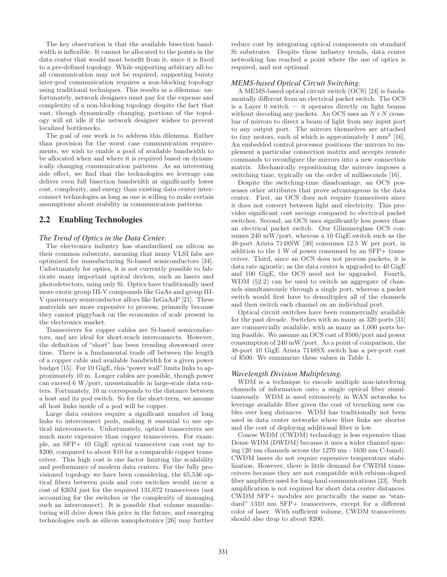The key observation is that the available bisection bandwidth is inflexible. It cannot be allocated to the points in the data center that would most benefit from it, since it is fixed to a pre-defined topology. While supporting arbitrary all-toall communication may not be required, supporting bursty inter-pod communication requires a non-blocking topology using traditional techniques. This results in a dilemma: unfortunately, network designers must pay for the expense and complexity of a non-blocking topology despite the fact that vast, though dynamically changing, portions of the topology will sit idle if the network designer wishes to prevent localized bottlenecks.

The goal of our work is to address this dilemma. Rather than provision for the worst case communication requirements, we wish to enable a pool of available bandwidth to be allocated when and where it is required based on dynamically changing communication patterns. As an interesting side effect, we find that the technologies we leverage can deliver even full bisection bandwidth at significantly lower cost, complexity, and energy than existing data center interconnect technologies as long as one is willing to make certain assumptions about stability in communication patterns.

## **2.2 Enabling Technologies**

#### *The Trend of Optics in the Data Center.*

The electronics industry has standardized on silicon as their common substrate, meaning that many VLSI fabs are optimized for manufacturing Si-based semiconductors [34]. Unfortunately for optics, it is not currently possible to fabricate many important optical devices, such as lasers and photodetectors, using only Si. Optics have traditionally used more exotic group III-V compounds like GaAs and group III-V quaternary semiconductor alloys like InGaAsP [21]. These materials are more expensive to process, primarily because they cannot piggyback on the economies of scale present in the electronics market.

Transceivers for copper cables are Si-based semiconductors, and are ideal for short-reach interconnects. However, the definition of "short" has been trending downward over time. There is a fundamental trade off between the length of a copper cable and available bandwidth for a given power budget [15]. For 10 GigE, this "power wall" limits links to approximately 10 m. Longer cables are possible, though power can exceed 6 W/port, unsustainable in large-scale data centers. Fortunately, 10 m corresponds to the distance between a host and its pod switch. So for the short-term, we assume all host links inside of a pod will be copper.

Large data centers require a significant number of long links to interconnect pods, making it essential to use optical interconnects. Unfortunately, optical transceivers are much more expensive than copper transceivers. For example, an SFP+ 10 GigE optical transceiver can cost up to \$200, compared to about \$10 for a comparable copper transceiver. This high cost is one factor limiting the scalability and performance of modern data centers. For the fully provisioned topology we have been considering, the 65,536 optical fibers between pods and core switches would incur a cost of \$26M just for the required 131,072 transceivers (not accounting for the switches or the complexity of managing such an interconnect). It is possible that volume manufacturing will drive down this price in the future, and emerging technologies such as silicon nanophotonics [26] may further

reduce cost by integrating optical components on standard Si substrates. Despite these industry trends, data center networking has reached a point where the use of optics is required, and not optional.

## *MEMS-based Optical Circuit Switching.*

A MEMS-based optical circuit switch (OCS) [24] is fundamentally different from an electrical packet switch. The OCS is a Layer  $0$  switch  $-$  it operates directly on light beams without decoding any packets. An OCS uses an  $N \times N$  crossbar of mirrors to direct a beam of light from any input port to any output port. The mirrors themselves are attached to tiny motors, each of which is approximately  $1 \text{ mm}^2$  [16]. An embedded control processor positions the mirrors to implement a particular connection matrix and accepts remote commands to reconfigure the mirrors into a new connection matrix. Mechanically repositioning the mirrors imposes a switching time, typically on the order of milliseconds [16].

Despite the switching-time disadvantage, an OCS possesses other attributes that prove advantageous in the data center. First, an OCS does not require transceivers since it does not convert between light and electricity. This provides significant cost savings compared to electrical packet switches. Second, an OCS uses significantly less power than an electrical packet switch. Our Glimmerglass OCS consumes 240 mW/port, whereas a 10 GigE switch such as the 48-port Arista 7148SW [30] consumes 12.5 W per port, in addition to the 1 W of power consumed by an SFP+ transceiver. Third, since an OCS does not process packets, it is data rate agnostic; as the data center is upgraded to 40 GigE and 100 GigE, the OCS need not be upgraded. Fourth, WDM (§2.2) can be used to switch an aggregate of channels simultaneously through a single port, whereas a packet switch would first have to demultiplex all of the channels and then switch each channel on an individual port.

Optical circuit switches have been commercially available for the past decade. Switches with as many as 320 ports [31] are commercially available, with as many as 1,000 ports being feasible. We assume an OCS cost of \$500/port and power consumption of 240 mW/port. As a point of comparison, the 48-port 10 GigE Arista 7148SX switch has a per-port cost of \$500. We summarize these values in Table 1.

#### *Wavelength Division Multiplexing.*

WDM is a technique to encode multiple non-interfering channels of information onto a single optical fiber simultaneously. WDM is used extensively in WAN networks to leverage available fiber given the cost of trenching new cables over long distances. WDM has traditionally not been used in data center networks where fiber links are shorter and the cost of deploying additional fiber is low.

Coarse WDM (CWDM) technology is less expensive than Dense WDM (DWDM) because it uses a wider channel spacing (20 nm channels across the 1270 nm - 1630 nm C-band). CWDM lasers do not require expensive temperature stabilization. However, there is little demand for CWDM transceivers because they are not compatible with erbium-doped fiber amplifiers used for long-haul communications [23]. Such amplification is not required for short data center distances. CWDM SFP+ modules are practically the same as "standard" 1310 nm SFP+ transceivers, except for a different color of laser. With sufficient volume, CWDM transceivers should also drop to about \$200.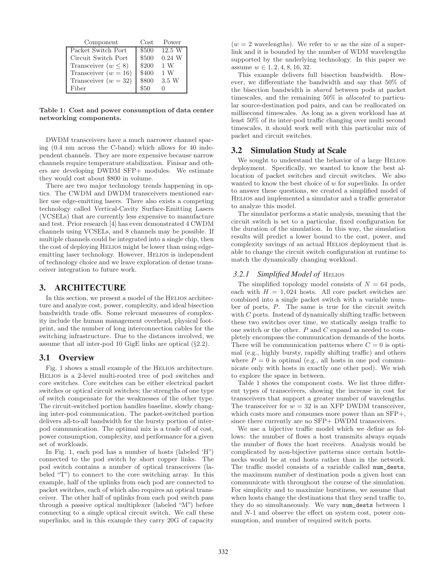| Component                | Cost  | Power    |
|--------------------------|-------|----------|
| Packet Switch Port       | \$500 | 12.5 W   |
| Circuit Switch Port      | \$500 | $0.24$ W |
| Transceiver $(w \leq 8)$ | \$200 | 1 W      |
| Transceiver $(w = 16)$   | \$400 | 1W       |
| Transceiver $(w = 32)$   | \$800 | 3.5 W    |
| Fiber                    |       |          |

Table 1: Cost and power consumption of data center networking components.

DWDM transceivers have a much narrower channel spacing (0.4 nm across the C-band) which allows for 40 independent channels. They are more expensive because narrow channels require temperature stabilization. Finisar and others are developing DWDM SFP+ modules. We estimate they would cost about \$800 in volume.

There are two major technology trends happening in optics. The CWDM and DWDM transceivers mentioned earlier use edge-emitting lasers. There also exists a competing technology called Vertical-Cavity Surface-Emitting Lasers (VCSELs) that are currently less expensive to manufacture and test. Prior research [4] has even demonstrated 4 CWDM channels using VCSELs, and 8 channels may be possible. If multiple channels could be integrated into a single chip, then the cost of deploying HELIOS might be lower than using edgeemitting laser technology. However, HELIOS is independent of technology choice and we leave exploration of dense transceiver integration to future work.

## **3. ARCHITECTURE**

In this section, we present a model of the HELIOS architecture and analyze cost, power, complexity, and ideal bisection bandwidth trade offs. Some relevant measures of complexity include the human management overhead, physical footprint, and the number of long interconnection cables for the switching infrastructure. Due to the distances involved, we assume that all inter-pod 10 GigE links are optical (§2.2).

## **3.1 Overview**

Fig. 1 shows a small example of the Helios architecture. Helios is a 2-level multi-rooted tree of pod switches and core switches. Core switches can be either electrical packet switches or optical circuit switches; the strengths of one type of switch compensate for the weaknesses of the other type. The circuit-switched portion handles baseline, slowly changing inter-pod communication. The packet-switched portion delivers all-to-all bandwidth for the bursty portion of interpod communication. The optimal mix is a trade off of cost, power consumption, complexity, and performance for a given set of workloads.

In Fig. 1, each pod has a number of hosts (labeled 'H") connected to the pod switch by short copper links. The pod switch contains a number of optical transceivers (labeled "T") to connect to the core switching array. In this example, half of the uplinks from each pod are connected to packet switches, each of which also requires an optical transceiver. The other half of uplinks from each pod switch pass through a passive optical multiplexer (labeled "M") before connecting to a single optical circuit switch. We call these superlinks, and in this example they carry 20G of capacity

 $(w = 2$  wavelengths). We refer to w as the size of a superlink and it is bounded by the number of WDM wavelengths supported by the underlying technology. In this paper we assume  $w \in 1, 2, 4, 8, 16, 32$ .

This example delivers full bisection bandwidth. However, we differentiate the bandwidth and say that 50% of the bisection bandwidth is shared between pods at packet timescales, and the remaining 50% is allocated to particular source-destination pod pairs, and can be reallocated on millisecond timescales. As long as a given workload has at least 50% of its inter-pod traffic changing over multi second timescales, it should work well with this particular mix of packet and circuit switches.

## **3.2 Simulation Study at Scale**

We sought to understand the behavior of a large HELIOS deployment. Specifically, we wanted to know the best allocation of packet switches and circuit switches. We also wanted to know the best choice of w for superlinks. In order to answer these questions, we created a simplified model of Helios and implemented a simulator and a traffic generator to analyze this model.

The simulator performs a static analysis, meaning that the circuit switch is set to a particular, fixed configuration for the duration of the simulation. In this way, the simulation results will predict a lower bound to the cost, power, and complexity savings of an actual Helios deployment that is able to change the circuit switch configuration at runtime to match the dynamically changing workload.

#### *3.2.1 Simplified Model of HELIOS*

The simplified topology model consists of  $N = 64$  pods, each with  $H = 1,024$  hosts. All core packet switches are combined into a single packet switch with a variable number of ports, P. The same is true for the circuit switch with C ports. Instead of dynamically shifting traffic between these two switches over time, we statically assign traffic to one switch or the other. P and C expand as needed to completely encompass the communication demands of the hosts. There will be communication patterns where  $C = 0$  is optimal (e.g., highly bursty, rapidly shifting traffic) and others where  $P = 0$  is optimal (e.g., all hosts in one pod communicate only with hosts in exactly one other pod). We wish to explore the space in between.

Table 1 shows the component costs. We list three different types of transceivers, showing the increase in cost for transceivers that support a greater number of wavelengths. The transceiver for  $w = 32$  is an XFP DWDM transceiver, which costs more and consumes more power than an SFP+, since there currently are no SFP+ DWDM transceivers.

We use a bijective traffic model which we define as follows: the number of flows a host transmits always equals the number of flows the host receives. Analysis would be complicated by non-bijective patterns since certain bottlenecks would be at end hosts rather than in the network. The traffic model consists of a variable called num\_dests, the maximum number of destination pods a given host can communicate with throughout the course of the simulation. For simplicity and to maximize burstiness, we assume that when hosts change the destinations that they send traffic to, they do so simultaneously. We vary num\_dests between 1 and N-1 and observe the effect on system cost, power consumption, and number of required switch ports.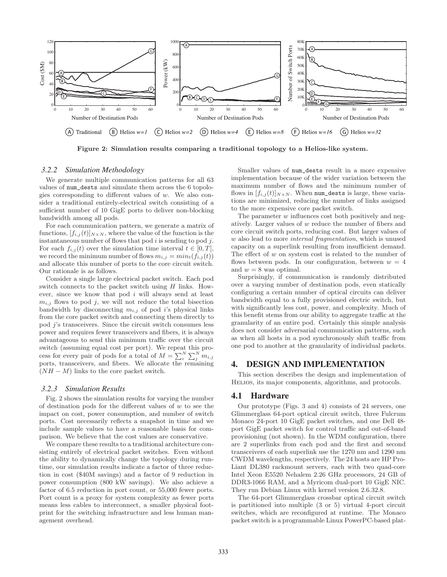

Figure 2: Simulation results comparing a traditional topology to a Helios-like system.

#### *3.2.2 Simulation Methodology*

We generate multiple communication patterns for all 63 values of num\_dests and simulate them across the 6 topologies corresponding to different values of  $w$ . We also consider a traditional entirely-electrical switch consisting of a sufficient number of 10 GigE ports to deliver non-blocking bandwidth among all pods.

For each communication pattern, we generate a matrix of functions,  $[f_{i,j}(t)]_{N\times N}$ , where the value of the function is the instantaneous number of flows that pod  $i$  is sending to pod  $j$ . For each  $f_{i,j}(t)$  over the simulation time interval  $t \in [0, T]$ , we record the minimum number of flows  $m_{i,j} = min_t(f_{i,j}(t))$ and allocate this number of ports to the core circuit switch. Our rationale is as follows.

Consider a single large electrical packet switch. Each pod switch connects to the packet switch using  $H$  links. However, since we know that pod i will always send at least  $m_{i,j}$  flows to pod j, we will not reduce the total bisection bandwidth by disconnecting  $m_{i,j}$  of pod i's physical links from the core packet switch and connecting them directly to pod j's transceivers. Since the circuit switch consumes less power and requires fewer transceivers and fibers, it is always advantageous to send this minimum traffic over the circuit switch (assuming equal cost per port). We repeat this process for every pair of pods for a total of  $M = \sum_{i=1}^{N} \sum_{j=1}^{N} m_{i,j}$ ports, transceivers, and fibers. We allocate the remaining  $(NH - M)$  links to the core packet switch.

#### *3.2.3 Simulation Results*

Fig. 2 shows the simulation results for varying the number of destination pods for the different values of  $w$  to see the impact on cost, power consumption, and number of switch ports. Cost necessarily reflects a snapshot in time and we include sample values to have a reasonable basis for comparison. We believe that the cost values are conservative.

We compare these results to a traditional architecture consisting entirely of electrical packet switches. Even without the ability to dynamically change the topology during runtime, our simulation results indicate a factor of three reduction in cost (\$40M savings) and a factor of 9 reduction in power consumption (800 kW savings). We also achieve a factor of 6.5 reduction in port count, or 55,000 fewer ports. Port count is a proxy for system complexity as fewer ports means less cables to interconnect, a smaller physical footprint for the switching infrastructure and less human management overhead.

Smaller values of num\_dests result in a more expensive implementation because of the wider variation between the maximum number of flows and the minimum number of flows in  $[f_{i,j}(t)]_{N\times N}$ . When num\_dests is large, these variations are minimized, reducing the number of links assigned to the more expensive core packet switch.

The parameter  $w$  influences cost both positively and negatively. Larger values of w reduce the number of fibers and core circuit switch ports, reducing cost. But larger values of w also lead to more *internal fragmentation*, which is unused capacity on a superlink resulting from insufficient demand. The effect of  $w$  on system cost is related to the number of flows between pods. In our configuration, between  $w = 4$ and  $w = 8$  was optimal.

Surprisingly, if communication is randomly distributed over a varying number of destination pods, even statically configuring a certain number of optical circuits can deliver bandwidth equal to a fully provisioned electric switch, but with significantly less cost, power, and complexity. Much of this benefit stems from our ability to aggregate traffic at the granularity of an entire pod. Certainly this simple analysis does not consider adversarial communication patterns, such as when all hosts in a pod synchronously shift traffic from one pod to another at the granularity of individual packets.

# **4. DESIGN AND IMPLEMENTATION**

This section describes the design and implementation of Helios, its major components, algorithms, and protocols.

#### **4.1 Hardware**

Our prototype (Figs. 3 and 4) consists of 24 servers, one Glimmerglass 64-port optical circuit switch, three Fulcrum Monaco 24-port 10 GigE packet switches, and one Dell 48 port GigE packet switch for control traffic and out-of-band provisioning (not shown). In the WDM configuration, there are 2 superlinks from each pod and the first and second transceivers of each superlink use the 1270 nm and 1290 nm CWDM wavelengths, respectively. The 24 hosts are HP Pro-Liant DL380 rackmount servers, each with two quad-core Intel Xeon E5520 Nehalem 2.26 GHz processors, 24 GB of DDR3-1066 RAM, and a Myricom dual-port 10 GigE NIC. They run Debian Linux with kernel version 2.6.32.8.

The 64-port Glimmerglass crossbar optical circuit switch is partitioned into multiple (3 or 5) virtual 4-port circuit switches, which are reconfigured at runtime. The Monaco packet switch is a programmable Linux PowerPC-based plat-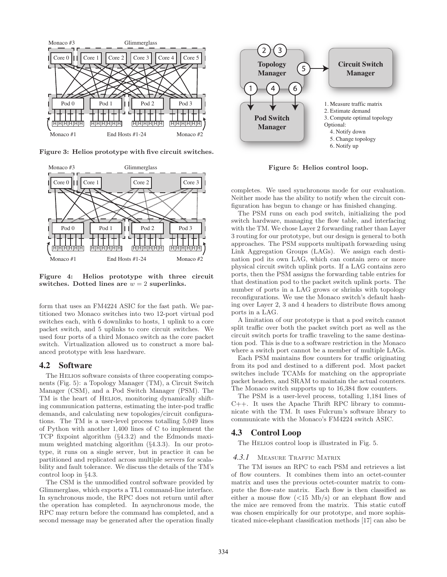

Figure 3: Helios prototype with five circuit switches.



Figure 4: Helios prototype with three circuit switches. Dotted lines are  $w = 2$  superlinks.

form that uses an FM4224 ASIC for the fast path. We partitioned two Monaco switches into two 12-port virtual pod switches each, with 6 downlinks to hosts, 1 uplink to a core packet switch, and 5 uplinks to core circuit switches. We used four ports of a third Monaco switch as the core packet switch. Virtualization allowed us to construct a more balanced prototype with less hardware.

## **4.2 Software**

The HELIOS software consists of three cooperating components (Fig. 5): a Topology Manager (TM), a Circuit Switch Manager (CSM), and a Pod Switch Manager (PSM). The TM is the heart of Helios, monitoring dynamically shifting communication patterns, estimating the inter-pod traffic demands, and calculating new topologies/circuit configurations. The TM is a user-level process totalling 5,049 lines of Python with another 1,400 lines of C to implement the TCP fixpoint algorithm (§4.3.2) and the Edmonds maximum weighted matching algorithm (§4.3.3). In our prototype, it runs on a single server, but in practice it can be partitioned and replicated across multiple servers for scalability and fault tolerance. We discuss the details of the TM's control loop in §4.3.

The CSM is the unmodified control software provided by Glimmerglass, which exports a TL1 command-line interface. In synchronous mode, the RPC does not return until after the operation has completed. In asynchronous mode, the RPC may return before the command has completed, and a second message may be generated after the operation finally



Figure 5: Helios control loop.

completes. We used synchronous mode for our evaluation. Neither mode has the ability to notify when the circuit configuration has begun to change or has finished changing.

The PSM runs on each pod switch, initializing the pod switch hardware, managing the flow table, and interfacing with the TM. We chose Layer 2 forwarding rather than Layer 3 routing for our prototype, but our design is general to both approaches. The PSM supports multipath forwarding using Link Aggregation Groups (LAGs). We assign each destination pod its own LAG, which can contain zero or more physical circuit switch uplink ports. If a LAG contains zero ports, then the PSM assigns the forwarding table entries for that destination pod to the packet switch uplink ports. The number of ports in a LAG grows or shrinks with topology reconfigurations. We use the Monaco switch's default hashing over Layer 2, 3 and 4 headers to distribute flows among ports in a LAG.

A limitation of our prototype is that a pod switch cannot split traffic over both the packet switch port as well as the circuit switch ports for traffic traveling to the same destination pod. This is due to a software restriction in the Monaco where a switch port cannot be a member of multiple LAGs.

Each PSM maintains flow counters for traffic originating from its pod and destined to a different pod. Most packet switches include TCAMs for matching on the appropriate packet headers, and SRAM to maintain the actual counters. The Monaco switch supports up to 16,384 flow counters.

The PSM is a user-level process, totalling 1,184 lines of C++. It uses the Apache Thrift RPC library to communicate with the TM. It uses Fulcrum's software library to communicate with the Monaco's FM4224 switch ASIC.

#### **4.3 Control Loop**

The HELIOS control loop is illustrated in Fig. 5.

#### 4.3.1 MEASURE TRAFFIC MATRIX

The TM issues an RPC to each PSM and retrieves a list of flow counters. It combines them into an octet-counter matrix and uses the previous octet-counter matrix to compute the flow-rate matrix. Each flow is then classified as either a mouse flow  $(<15 \text{ Mb/s})$  or an elephant flow and the mice are removed from the matrix. This static cutoff was chosen empirically for our prototype, and more sophisticated mice-elephant classification methods [17] can also be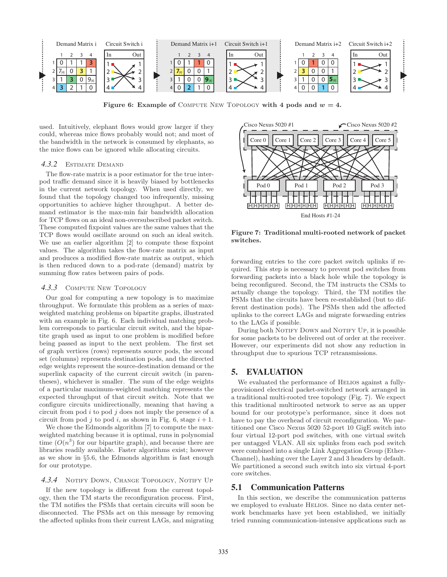

Figure 6: Example of COMPUTE NEW TOPOLOGY with 4 pods and  $w = 4$ .

used. Intuitively, elephant flows would grow larger if they could, whereas mice flows probably would not; and most of the bandwidth in the network is consumed by elephants, so the mice flows can be ignored while allocating circuits.

#### *4.3.2* Estimate Demand

The flow-rate matrix is a poor estimator for the true interpod traffic demand since it is heavily biased by bottlenecks in the current network topology. When used directly, we found that the topology changed too infrequently, missing opportunities to achieve higher throughput. A better demand estimator is the max-min fair bandwidth allocation for TCP flows on an ideal non-oversubscribed packet switch. These computed fixpoint values are the same values that the TCP flows would oscillate around on such an ideal switch. We use an earlier algorithm [2] to compute these fixpoint values. The algorithm takes the flow-rate matrix as input and produces a modified flow-rate matrix as output, which is then reduced down to a pod-rate (demand) matrix by summing flow rates between pairs of pods.

#### *4.3.3* Compute New Topology

Our goal for computing a new topology is to maximize throughput. We formulate this problem as a series of maxweighted matching problems on bipartite graphs, illustrated with an example in Fig. 6. Each individual matching problem corresponds to particular circuit switch, and the bipartite graph used as input to one problem is modified before being passed as input to the next problem. The first set of graph vertices (rows) represents source pods, the second set (columns) represents destination pods, and the directed edge weights represent the source-destination demand or the superlink capacity of the current circuit switch (in parentheses), whichever is smaller. The sum of the edge weights of a particular maximum-weighted matching represents the expected throughput of that circuit switch. Note that we configure circuits unidirectionally, meaning that having a circuit from pod  $i$  to pod  $j$  does not imply the presence of a circuit from pod j to pod i, as shown in Fig. 6, stage  $i + 1$ .

We chose the Edmonds algorithm [7] to compute the maxweighted matching because it is optimal, runs in polynomial time  $(O(n^3)$  for our bipartite graph), and because there are libraries readily available. Faster algorithms exist; however as we show in §5.6, the Edmonds algorithm is fast enough for our prototype.

## 4.3.4 NOTIFY DOWN, CHANGE TOPOLOGY, NOTIFY UP

If the new topology is different from the current topology, then the TM starts the reconfiguration process. First, the TM notifies the PSMs that certain circuits will soon be disconnected. The PSMs act on this message by removing the affected uplinks from their current LAGs, and migrating



Figure 7: Traditional multi-rooted network of packet switches.

forwarding entries to the core packet switch uplinks if required. This step is necessary to prevent pod switches from forwarding packets into a black hole while the topology is being reconfigured. Second, the TM instructs the CSMs to actually change the topology. Third, the TM notifies the PSMs that the circuits have been re-established (but to different destination pods). The PSMs then add the affected uplinks to the correct LAGs and migrate forwarding entries to the LAGs if possible.

During both NOTIFY DOWN and NOTIFY UP, it is possible for some packets to be delivered out of order at the receiver. However, our experiments did not show any reduction in throughput due to spurious TCP retransmissions.

## **5. EVALUATION**

We evaluated the performance of HELIOS against a fullyprovisioned electrical packet-switched network arranged in a traditional multi-rooted tree topology (Fig. 7). We expect this traditional multirooted network to serve as an upper bound for our prototype's performance, since it does not have to pay the overhead of circuit reconfiguration. We partitioned one Cisco Nexus 5020 52-port 10 GigE switch into four virtual 12-port pod switches, with one virtual switch per untagged VLAN. All six uplinks from each pod switch were combined into a single Link Aggregation Group (Ether-Channel), hashing over the Layer 2 and 3 headers by default. We partitioned a second such switch into six virtual 4-port core switches.

# **5.1 Communication Patterns**

In this section, we describe the communication patterns we employed to evaluate HELIOS. Since no data center network benchmarks have yet been established, we initially tried running communication-intensive applications such as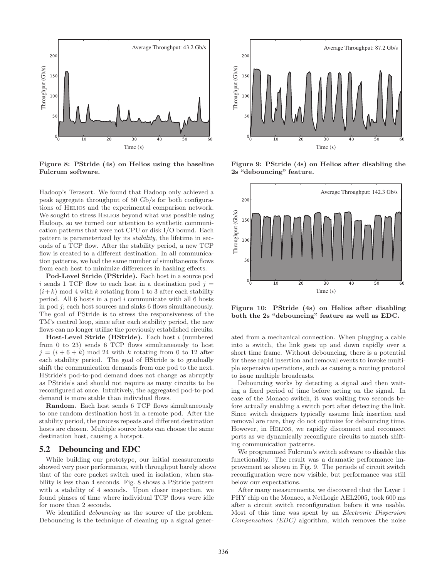

Figure 8: PStride (4s) on Helios using the baseline Fulcrum software.

Hadoop's Terasort. We found that Hadoop only achieved a peak aggregate throughput of 50 Gb/s for both configurations of Helios and the experimental comparison network. We sought to stress HELIOS beyond what was possible using Hadoop, so we turned our attention to synthetic communication patterns that were not CPU or disk I/O bound. Each pattern is parameterized by its stability, the lifetime in seconds of a TCP flow. After the stability period, a new TCP flow is created to a different destination. In all communication patterns, we had the same number of simultaneous flows from each host to minimize differences in hashing effects.

Pod-Level Stride (PStride). Each host in a source pod i sends 1 TCP flow to each host in a destination pod  $j =$  $(i+k)$  mod 4 with k rotating from 1 to 3 after each stability period. All 6 hosts in a pod i communicate with all 6 hosts in pod j; each host sources and sinks 6 flows simultaneously. The goal of PStride is to stress the responsiveness of the TM's control loop, since after each stability period, the new flows can no longer utilize the previously established circuits.

Host-Level Stride (HStride). Each host i (numbered from 0 to 23) sends 6 TCP flows simultaneously to host  $j = (i + 6 + k) \mod 24$  with k rotating from 0 to 12 after each stability period. The goal of HStride is to gradually shift the communication demands from one pod to the next. HStride's pod-to-pod demand does not change as abruptly as PStride's and should not require as many circuits to be reconfigured at once. Intuitively, the aggregated pod-to-pod demand is more stable than individual flows.

Random. Each host sends 6 TCP flows simultaneously to one random destination host in a remote pod. After the stability period, the process repeats and different destination hosts are chosen. Multiple source hosts can choose the same destination host, causing a hotspot.

#### **5.2 Debouncing and EDC**

While building our prototype, our initial measurements showed very poor performance, with throughput barely above that of the core packet switch used in isolation, when stability is less than 4 seconds. Fig. 8 shows a PStride pattern with a stability of 4 seconds. Upon closer inspection, we found phases of time where individual TCP flows were idle for more than 2 seconds.

We identified debouncing as the source of the problem. Debouncing is the technique of cleaning up a signal gener-



Figure 9: PStride (4s) on Helios after disabling the 2s "debouncing" feature.



Figure 10: PStride (4s) on Helios after disabling both the 2s "debouncing" feature as well as EDC.

ated from a mechanical connection. When plugging a cable into a switch, the link goes up and down rapidly over a short time frame. Without debouncing, there is a potential for these rapid insertion and removal events to invoke multiple expensive operations, such as causing a routing protocol to issue multiple broadcasts.

Debouncing works by detecting a signal and then waiting a fixed period of time before acting on the signal. In case of the Monaco switch, it was waiting two seconds before actually enabling a switch port after detecting the link. Since switch designers typically assume link insertion and removal are rare, they do not optimize for debouncing time. However, in Helios, we rapidly disconnect and reconnect ports as we dynamically reconfigure circuits to match shifting communication patterns.

We programmed Fulcrum's switch software to disable this functionality. The result was a dramatic performance improvement as shown in Fig. 9. The periods of circuit switch reconfiguration were now visible, but performance was still below our expectations.

After many measurements, we discovered that the Layer 1 PHY chip on the Monaco, a NetLogic AEL2005, took 600 ms after a circuit switch reconfiguration before it was usable. Most of this time was spent by an Electronic Dispersion Compensation (EDC) algorithm, which removes the noise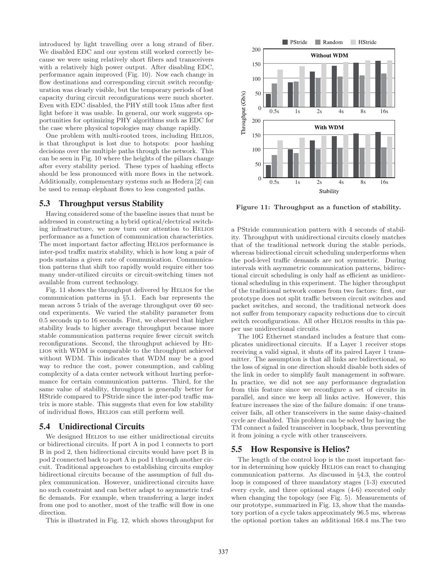introduced by light travelling over a long strand of fiber. We disabled EDC and our system still worked correctly because we were using relatively short fibers and transceivers with a relatively high power output. After disabling EDC, performance again improved (Fig. 10). Now each change in flow destinations and corresponding circuit switch reconfiguration was clearly visible, but the temporary periods of lost capacity during circuit reconfigurations were much shorter. Even with EDC disabled, the PHY still took 15ms after first light before it was usable. In general, our work suggests opportunities for optimizing PHY algorithms such as EDC for the case where physical topologies may change rapidly.

One problem with multi-rooted trees, including HELIOS, is that throughput is lost due to hotspots: poor hashing decisions over the multiple paths through the network. This can be seen in Fig. 10 where the heights of the pillars change after every stability period. These types of hashing effects should be less pronounced with more flows in the network. Additionally, complementary systems such as Hedera [2] can be used to remap elephant flows to less congested paths.

# **5.3 Throughput versus Stability**

Having considered some of the baseline issues that must be addressed in constructing a hybrid optical/electrical switching infrastructure, we now turn our attention to Helios performance as a function of communication characteristics. The most important factor affecting Helios performance is inter-pod traffix matrix stability, which is how long a pair of pods sustains a given rate of communication. Communication patterns that shift too rapidly would require either too many under-utilized circuits or circuit-switching times not available from current technology.

Fig. 11 shows the throughput delivered by Helios for the communication patterns in §5.1. Each bar represents the mean across 5 trials of the average throughput over 60 second experiments. We varied the stability parameter from 0.5 seconds up to 16 seconds. First, we observed that higher stability leads to higher average throughput because more stable communication patterns require fewer circuit switch reconfigurations. Second, the throughput achieved by Helios with WDM is comparable to the throughput achieved without WDM. This indicates that WDM may be a good way to reduce the cost, power consumption, and cabling complexity of a data center network without hurting performance for certain communication patterns. Third, for the same value of stability, throughput is generally better for HStride compared to PStride since the inter-pod traffic matrix is more stable. This suggests that even for low stability of individual flows, Helios can still perform well.

# **5.4 Unidirectional Circuits**

We designed HELIOS to use either unidirectional circuits or bidirectional circuits. If port A in pod 1 connects to port B in pod 2, then bidirectional circuits would have port B in pod 2 connected back to port A in pod 1 through another circuit. Traditional approaches to establishing circuits employ bidirectional circuits because of the assumption of full duplex communication. However, unidirectional circuits have no such constraint and can better adapt to asymmetric traffic demands. For example, when transferring a large index from one pod to another, most of the traffic will flow in one direction.

This is illustrated in Fig. 12, which shows throughput for



Figure 11: Throughput as a function of stability.

a PStride communication pattern with 4 seconds of stability. Throughput with unidirectional circuits closely matches that of the traditional network during the stable periods, whereas bidirectional circuit scheduling underperforms when the pod-level traffic demands are not symmetric. During intervals with asymmetric communication patterns, bidirectional circuit scheduling is only half as efficient as unidirectional scheduling in this experiment. The higher throughput of the traditional network comes from two factors: first, our prototype does not split traffic between circuit switches and packet switches, and second, the traditional network does not suffer from temporary capacity reductions due to circuit switch reconfigurations. All other HELIOS results in this paper use unidirectional circuits.

The 10G Ethernet standard includes a feature that complicates unidirectional circuits. If a Layer 1 receiver stops receiving a valid signal, it shuts off its paired Layer 1 transmitter. The assumption is that all links are bidirectional, so the loss of signal in one direction should disable both sides of the link in order to simplify fault management in software. In practice, we did not see any performance degradation from this feature since we reconfigure a set of circuits in parallel, and since we keep all links active. However, this feature increases the size of the failure domain: if one transceiver fails, all other transceivers in the same daisy-chained cycle are disabled. This problem can be solved by having the TM connect a failed transceiver in loopback, thus preventing it from joining a cycle with other transceivers.

## **5.5 How Responsive is Helios?**

The length of the control loop is the most important factor in determining how quickly Helios can react to changing communication patterns. As discussed in §4.3, the control loop is composed of three mandatory stages (1-3) executed every cycle, and three optional stages (4-6) executed only when changing the topology (see Fig. 5). Measurements of our prototype, summarized in Fig. 13, show that the mandatory portion of a cycle takes approximately 96.5 ms, whereas the optional portion takes an additional 168.4 ms.The two